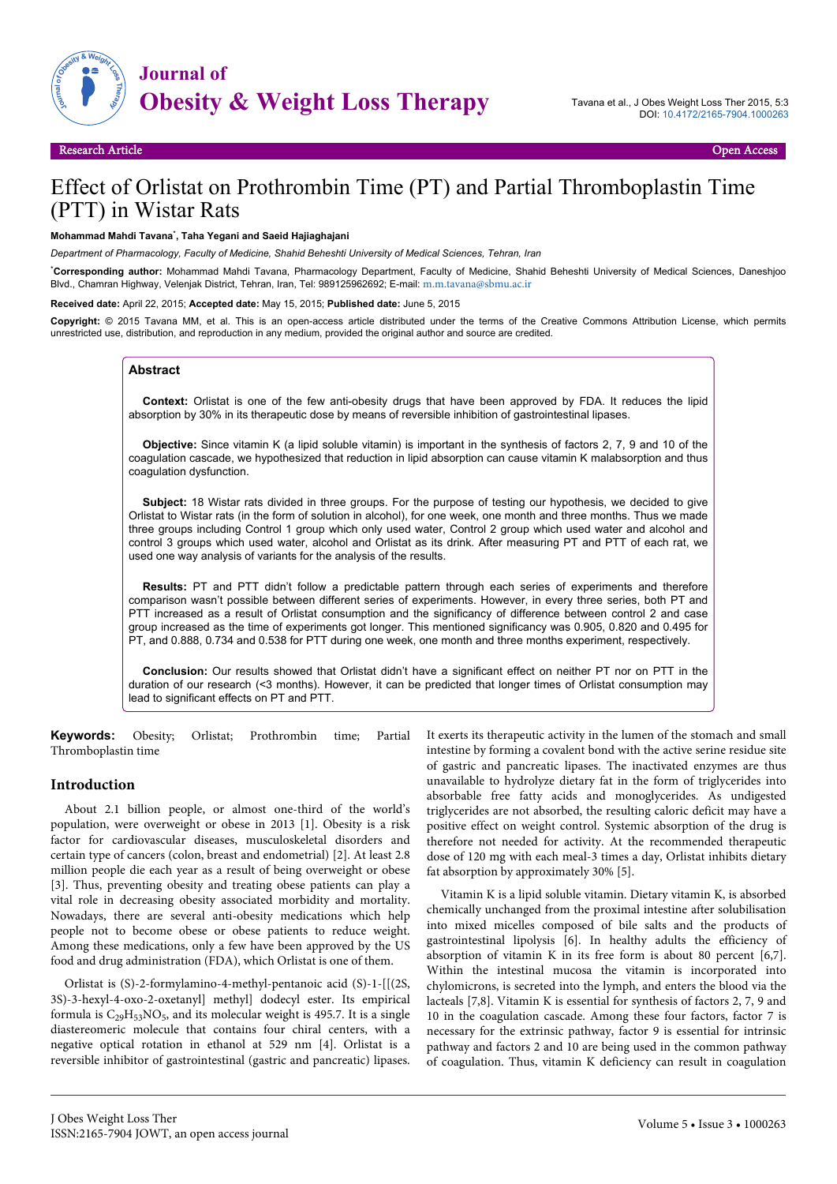

# Effect of Orlistat on Prothrombin Time (PT) and Partial Thromboplastin Time (PTT) in Wistar Rats

#### **Mohammad Mahdi Tavana**\* **, Taha Yegani and Saeid Hajiaghajani**

*Department of Pharmacology, Faculty of Medicine, Shahid Beheshti University of Medical Sciences, Tehran, Iran*

\***Corresponding author:** Mohammad Mahdi Tavana, Pharmacology Department, Faculty of Medicine, Shahid Beheshti University of Medical Sciences, Daneshjoo Blvd., Chamran Highway, Velenjak District, Tehran, Iran, Tel: 989125962692; E-mail: [m.m.tavana@sbmu.ac.ir](mailto:m.m.tavana@sbmu.ac.ir)

**Received date:** April 22, 2015; **Accepted date:** May 15, 2015; **Published date:** June 5, 2015

**Copyright:** © 2015 Tavana MM, et al. This is an open-access article distributed under the terms of the Creative Commons Attribution License, which permits unrestricted use, distribution, and reproduction in any medium, provided the original author and source are credited.

#### **Abstract**

**Context:** Orlistat is one of the few anti-obesity drugs that have been approved by FDA. It reduces the lipid absorption by 30% in its therapeutic dose by means of reversible inhibition of gastrointestinal lipases.

**Objective:** Since vitamin K (a lipid soluble vitamin) is important in the synthesis of factors 2, 7, 9 and 10 of the coagulation cascade, we hypothesized that reduction in lipid absorption can cause vitamin K malabsorption and thus coagulation dysfunction.

**Subject:** 18 Wistar rats divided in three groups. For the purpose of testing our hypothesis, we decided to give Orlistat to Wistar rats (in the form of solution in alcohol), for one week, one month and three months. Thus we made three groups including Control 1 group which only used water, Control 2 group which used water and alcohol and control 3 groups which used water, alcohol and Orlistat as its drink. After measuring PT and PTT of each rat, we used one way analysis of variants for the analysis of the results.

**Results:** PT and PTT didn't follow a predictable pattern through each series of experiments and therefore comparison wasn't possible between different series of experiments. However, in every three series, both PT and PTT increased as a result of Orlistat consumption and the significancy of difference between control 2 and case group increased as the time of experiments got longer. This mentioned significancy was 0.905, 0.820 and 0.495 for PT, and 0.888, 0.734 and 0.538 for PTT during one week, one month and three months experiment, respectively.

**Conclusion:** Our results showed that Orlistat didn't have a significant effect on neither PT nor on PTT in the duration of our research (<3 months). However, it can be predicted that longer times of Orlistat consumption may lead to significant effects on PT and PTT.

**Keywords:** Obesity; Orlistat; Prothrombin time; Partial Thromboplastin time

#### **Introduction**

About 2.1 billion people, or almost one-third of the world's population, were overweight or obese in 2013 [1]. Obesity is a risk factor for cardiovascular diseases, musculoskeletal disorders and certain type of cancers (colon, breast and endometrial) [2]. At least 2.8 million people die each year as a result of being overweight or obese [3]. Thus, preventing obesity and treating obese patients can play a vital role in decreasing obesity associated morbidity and mortality. Nowadays, there are several anti-obesity medications which help people not to become obese or obese patients to reduce weight. Among these medications, only a few have been approved by the US food and drug administration (FDA), which Orlistat is one of them.

Orlistat is (S)-2-formylamino-4-methyl-pentanoic acid (S)-1-[[(2S, 3S)-3-hexyl-4-oxo-2-oxetanyl] methyl] dodecyl ester. Its empirical formula is  $C_{29}H_{53}NO_5$ , and its molecular weight is 495.7. It is a single diastereomeric molecule that contains four chiral centers, with a negative optical rotation in ethanol at 529 nm [4]. Orlistat is a reversible inhibitor of gastrointestinal (gastric and pancreatic) lipases. It exerts its therapeutic activity in the lumen of the stomach and small intestine by forming a covalent bond with the active serine residue site of gastric and pancreatic lipases. The inactivated enzymes are thus unavailable to hydrolyze dietary fat in the form of triglycerides into absorbable free fatty acids and monoglycerides. As undigested triglycerides are not absorbed, the resulting caloric deficit may have a positive effect on weight control. Systemic absorption of the drug is therefore not needed for activity. At the recommended therapeutic dose of 120 mg with each meal-3 times a day, Orlistat inhibits dietary fat absorption by approximately 30% [5].

Vitamin K is a lipid soluble vitamin. Dietary vitamin K, is absorbed chemically unchanged from the proximal intestine after solubilisation into mixed micelles composed of bile salts and the products of gastrointestinal lipolysis [6]. In healthy adults the efficiency of absorption of vitamin K in its free form is about 80 percent [6,7]. Within the intestinal mucosa the vitamin is incorporated into chylomicrons, is secreted into the lymph, and enters the blood via the lacteals [7,8]. Vitamin K is essential for synthesis of factors 2, 7, 9 and 10 in the coagulation cascade. Among these four factors, factor 7 is necessary for the extrinsic pathway, factor 9 is essential for intrinsic pathway and factors 2 and 10 are being used in the common pathway of coagulation. Thus, vitamin K deficiency can result in coagulation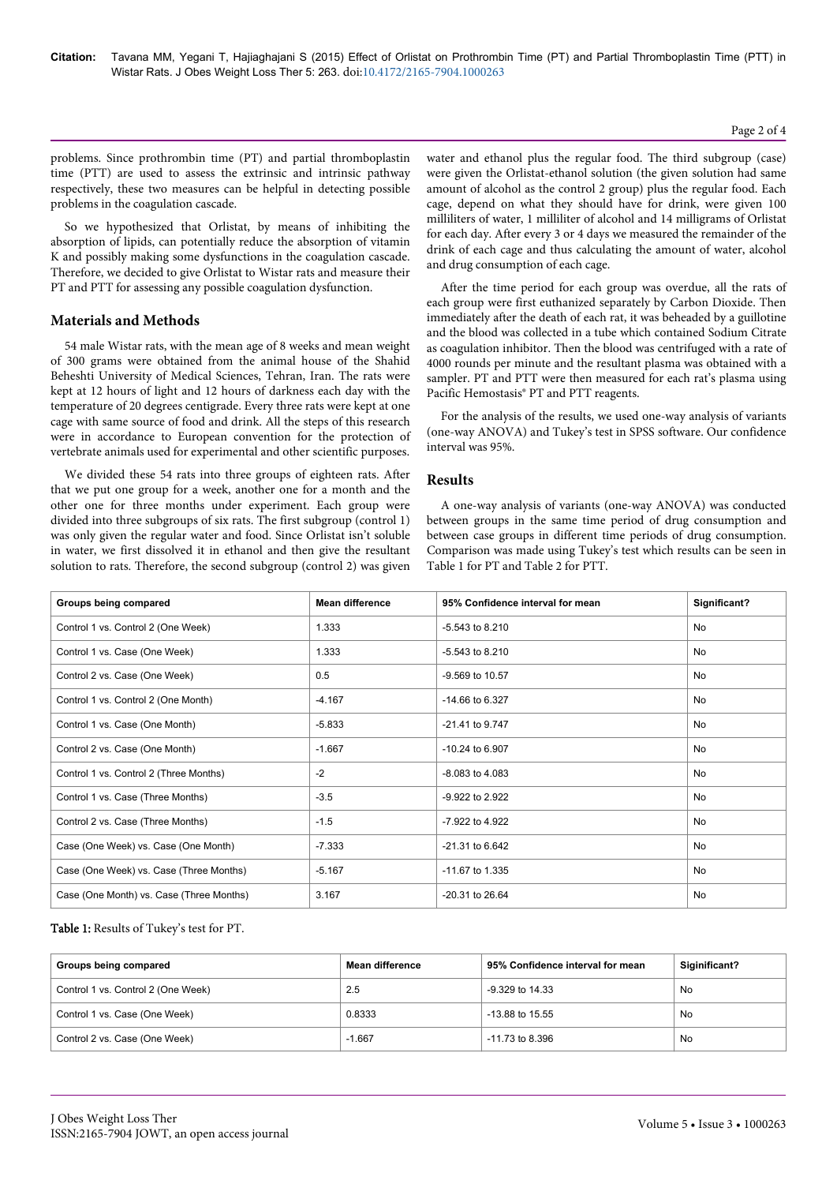## problems. Since prothrombin time (PT) and partial thromboplastin time (PTT) are used to assess the extrinsic and intrinsic pathway respectively, these two measures can be helpful in detecting possible problems in the coagulation cascade.

So we hypothesized that Orlistat, by means of inhibiting the absorption of lipids, can potentially reduce the absorption of vitamin K and possibly making some dysfunctions in the coagulation cascade. Therefore, we decided to give Orlistat to Wistar rats and measure their PT and PTT for assessing any possible coagulation dysfunction.

## **Materials and Methods**

54 male Wistar rats, with the mean age of 8 weeks and mean weight of 300 grams were obtained from the animal house of the Shahid Beheshti University of Medical Sciences, Tehran, Iran. The rats were kept at 12 hours of light and 12 hours of darkness each day with the temperature of 20 degrees centigrade. Every three rats were kept at one cage with same source of food and drink. All the steps of this research were in accordance to European convention for the protection of vertebrate animals used for experimental and other scientific purposes.

We divided these 54 rats into three groups of eighteen rats. After that we put one group for a week, another one for a month and the other one for three months under experiment. Each group were divided into three subgroups of six rats. The first subgroup (control 1) was only given the regular water and food. Since Orlistat isn't soluble in water, we first dissolved it in ethanol and then give the resultant solution to rats. Therefore, the second subgroup (control 2) was given

water and ethanol plus the regular food. The third subgroup (case) were given the Orlistat-ethanol solution (the given solution had same amount of alcohol as the control 2 group) plus the regular food. Each cage, depend on what they should have for drink, were given 100 milliliters of water, 1 milliliter of alcohol and 14 milligrams of Orlistat for each day. After every 3 or 4 days we measured the remainder of the drink of each cage and thus calculating the amount of water, alcohol and drug consumption of each cage.

After the time period for each group was overdue, all the rats of each group were first euthanized separately by Carbon Dioxide. Then immediately after the death of each rat, it was beheaded by a guillotine and the blood was collected in a tube which contained Sodium Citrate as coagulation inhibitor. Then the blood was centrifuged with a rate of 4000 rounds per minute and the resultant plasma was obtained with a sampler. PT and PTT were then measured for each rat's plasma using Pacific Hemostasis® PT and PTT reagents.

For the analysis of the results, we used one-way analysis of variants (one-way ANOVA) and Tukey's test in SPSS software. Our confidence interval was 95%.

## **Results**

A one-way analysis of variants (one-way ANOVA) was conducted between groups in the same time period of drug consumption and between case groups in different time periods of drug consumption. Comparison was made using Tukey's test which results can be seen in Table 1 for PT and Table 2 for PTT.

| Groups being compared                    | <b>Mean difference</b> | 95% Confidence interval for mean | Significant? |
|------------------------------------------|------------------------|----------------------------------|--------------|
| Control 1 vs. Control 2 (One Week)       | 1.333                  | $-5.543$ to 8.210                | No           |
| Control 1 vs. Case (One Week)            | 1.333                  | $-5.543$ to 8.210                | No           |
| Control 2 vs. Case (One Week)            | 0.5                    | -9.569 to 10.57                  | No           |
| Control 1 vs. Control 2 (One Month)      | $-4.167$               | $-14.66$ to 6.327                | No           |
| Control 1 vs. Case (One Month)           | $-5.833$               | -21.41 to 9.747                  | No           |
| Control 2 vs. Case (One Month)           | $-1.667$               | $-10.24$ to 6.907                | No           |
| Control 1 vs. Control 2 (Three Months)   | $-2$                   | $-8.083$ to $4.083$              | No           |
| Control 1 vs. Case (Three Months)        | $-3.5$                 | -9.922 to 2.922                  | No           |
| Control 2 vs. Case (Three Months)        | $-1.5$                 | -7.922 to 4.922                  | No           |
| Case (One Week) vs. Case (One Month)     | $-7.333$               | -21.31 to 6.642                  | No           |
| Case (One Week) vs. Case (Three Months)  | $-5.167$               | -11.67 to 1.335                  | No.          |
| Case (One Month) vs. Case (Three Months) | 3.167                  | $-20.31$ to $26.64$              | No           |

## Table 1: Results of Tukey's test for PT.

| Groups being compared              | Mean difference | 95% Confidence interval for mean | Siginificant? |
|------------------------------------|-----------------|----------------------------------|---------------|
| Control 1 vs. Control 2 (One Week) | 2.5             | -9.329 to 14.33                  | No            |
| Control 1 vs. Case (One Week)      | 0.8333          | $-13.88$ to $15.55$              | No            |
| Control 2 vs. Case (One Week)      | $-1.667$        | $-11.73$ to 8.396                | No            |

#### Page 2 of 4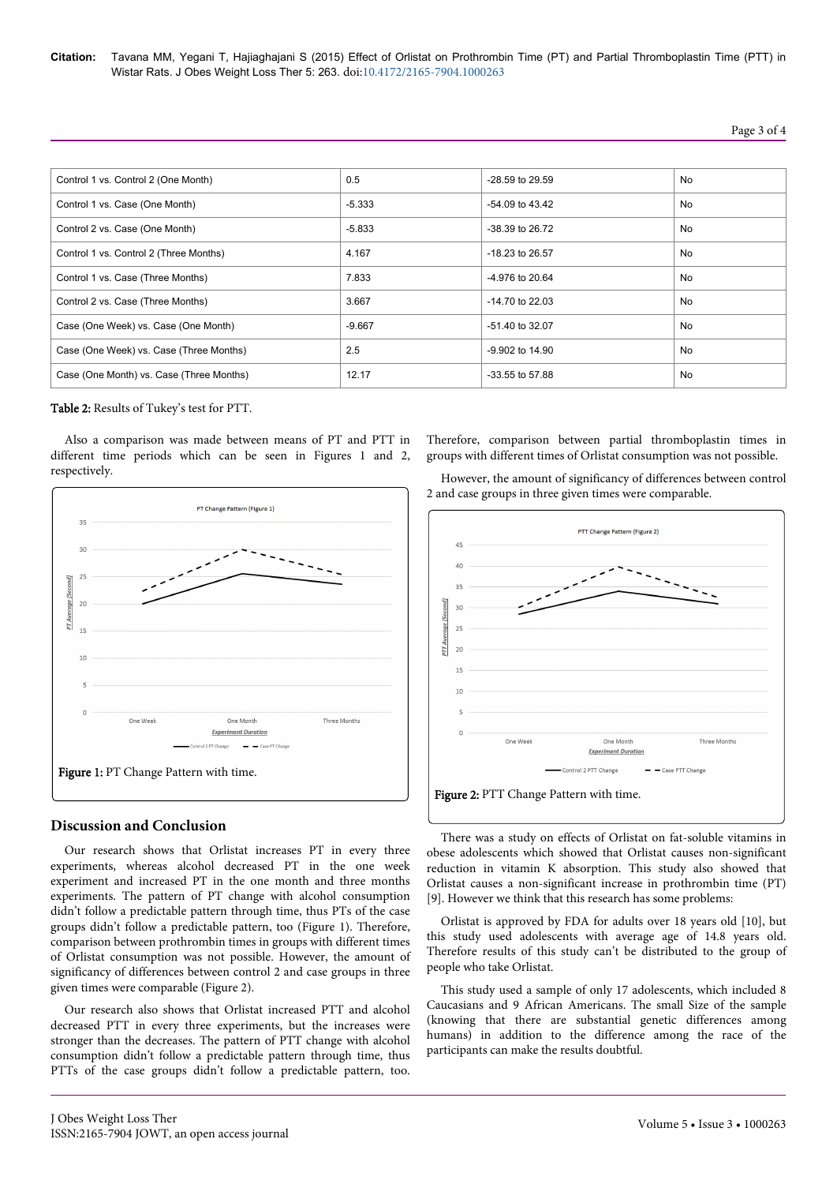| Control 1 vs. Control 2 (One Month)      | 0.5      | $-28.59$ to $29.59$ | No |
|------------------------------------------|----------|---------------------|----|
| Control 1 vs. Case (One Month)           | $-5.333$ | $-54.09$ to $43.42$ | No |
| Control 2 vs. Case (One Month)           | $-5.833$ | $-38.39$ to $26.72$ | No |
| Control 1 vs. Control 2 (Three Months)   | 4.167    | $-18.23$ to 26.57   | No |
| Control 1 vs. Case (Three Months)        | 7.833    | $-4.976$ to 20.64   | No |
| Control 2 vs. Case (Three Months)        | 3.667    | $-14.70$ to 22.03   | No |
| Case (One Week) vs. Case (One Month)     | $-9.667$ | $-51.40$ to 32.07   | No |
| Case (One Week) vs. Case (Three Months)  | 2.5      | -9.902 to 14.90     | No |
| Case (One Month) vs. Case (Three Months) | 12.17    | $-33.55$ to 57.88   | No |

Table 2: Results of Tukey's test for PTT.

Also a comparison was made between means of PT and PTT in different time periods which can be seen in Figures 1 and 2, respectively.



# **Discussion and Conclusion**

Our research shows that Orlistat increases PT in every three experiments, whereas alcohol decreased PT in the one week experiment and increased PT in the one month and three months experiments. The pattern of PT change with alcohol consumption didn't follow a predictable pattern through time, thus PTs of the case groups didn't follow a predictable pattern, too (Figure 1). Therefore, comparison between prothrombin times in groups with different times of Orlistat consumption was not possible. However, the amount of significancy of differences between control 2 and case groups in three given times were comparable (Figure 2).

Our research also shows that Orlistat increased PTT and alcohol decreased PTT in every three experiments, but the increases were stronger than the decreases. The pattern of PTT change with alcohol consumption didn't follow a predictable pattern through time, thus PTTs of the case groups didn't follow a predictable pattern, too.

Therefore, comparison between partial thromboplastin times in groups with different times of Orlistat consumption was not possible.

However, the amount of significancy of differences between control 2 and case groups in three given times were comparable.



There was a study on effects of Orlistat on fat-soluble vitamins in obese adolescents which showed that Orlistat causes non-significant reduction in vitamin K absorption. This study also showed that Orlistat causes a non-significant increase in prothrombin time (PT) [9]. However we think that this research has some problems:

Orlistat is approved by FDA for adults over 18 years old [10], but this study used adolescents with average age of 14.8 years old. Therefore results of this study can't be distributed to the group of people who take Orlistat.

This study used a sample of only 17 adolescents, which included 8 Caucasians and 9 African Americans. The small Size of the sample (knowing that there are substantial genetic differences among humans) in addition to the difference among the race of the participants can make the results doubtful.